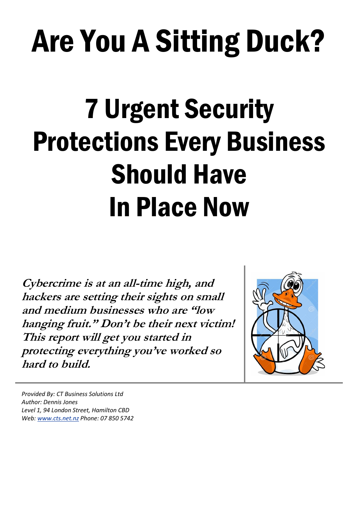# Are You A Sitting Duck?

## 7 Urgent Security Protections Every Business Should Have In Place Now

**Cybercrime is at an all-time high, and hackers are setting their sights on small and medium businesses who are "low hanging fruit." Don't be their next victim! This report will get you started in protecting everything you've worked so hard to build.**



*Provided By: CT Business Solutions Ltd Author: Dennis Jones Level 1, 94 London Street, Hamilton CBD Web: [www.cts.net.nz](http://www.cts.net.nz/) Phone: 07 850 5742*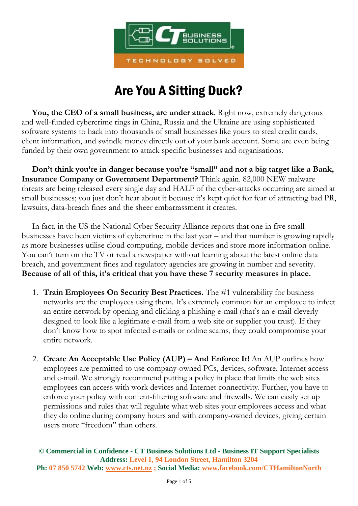

## Are You A Sitting Duck?

 **You, the CEO of a small business, are under attack**. Right now, extremely dangerous and well-funded cybercrime rings in China, Russia and the Ukraine are using sophisticated software systems to hack into thousands of small businesses like yours to steal credit cards, client information, and swindle money directly out of your bank account. Some are even being funded by their own government to attack specific businesses and organisations.

 **Don't think you're in danger because you're "small" and not a big target like a Bank, Insurance Company or Government Department?** Think again. 82,000 NEW malware threats are being released every single day and HALF of the cyber-attacks occurring are aimed at small businesses; you just don't hear about it because it's kept quiet for fear of attracting bad PR, lawsuits, data-breach fines and the sheer embarrassment it creates.

 In fact, in the US the National Cyber Security Alliance reports that one in five small businesses have been victims of cybercrime in the last year – and that number is growing rapidly as more businesses utilise cloud computing, mobile devices and store more information online. You can't turn on the TV or read a newspaper without learning about the latest online data breach, and government fines and regulatory agencies are growing in number and severity. **Because of all of this, it's critical that you have these 7 security measures in place.**

- 1. **Train Employees On Security Best Practices.** The #1 vulnerability for business networks are the employees using them. It's extremely common for an employee to infect an entire network by opening and clicking a phishing e-mail (that's an e-mail cleverly designed to look like a legitimate e-mail from a web site or supplier you trust). If they don't know how to spot infected e-mails or online scams, they could compromise your entire network.
- 2. **Create An Acceptable Use Policy (AUP) – And Enforce It!** An AUP outlines how employees are permitted to use company-owned PCs, devices, software, Internet access and e-mail. We strongly recommend putting a policy in place that limits the web sites employees can access with work devices and Internet connectivity. Further, you have to enforce your policy with content-filtering software and firewalls. We can easily set up permissions and rules that will regulate what web sites your employees access and what they do online during company hours and with company-owned devices, giving certain users more "freedom" than others.

**© Commercial in Confidence - CT Business Solutions Ltd - Business IT Support Specialists Address: Level 1, 94 London Street, Hamilton 3204 Ph: 07 850 5742 Web: [www.cts.net.nz](http://www.cts.net.nz/) ; Social Media: www.facebook.com/CTHamiltonNorth**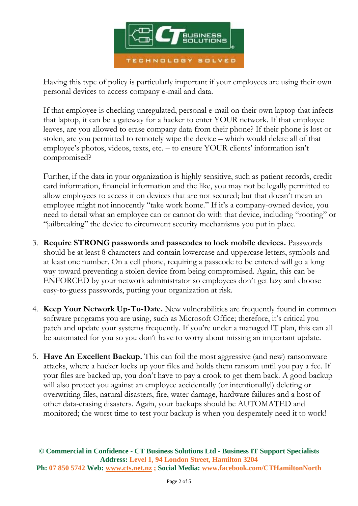

Having this type of policy is particularly important if your employees are using their own personal devices to access company e-mail and data.

If that employee is checking unregulated, personal e-mail on their own laptop that infects that laptop, it can be a gateway for a hacker to enter YOUR network. If that employee leaves, are you allowed to erase company data from their phone? If their phone is lost or stolen, are you permitted to remotely wipe the device – which would delete all of that employee's photos, videos, texts, etc. – to ensure YOUR clients' information isn't compromised?

Further, if the data in your organization is highly sensitive, such as patient records, credit card information, financial information and the like, you may not be legally permitted to allow employees to access it on devices that are not secured; but that doesn't mean an employee might not innocently "take work home." If it's a company-owned device, you need to detail what an employee can or cannot do with that device, including "rooting" or "jailbreaking" the device to circumvent security mechanisms you put in place.

- 3. **Require STRONG passwords and passcodes to lock mobile devices.** Passwords should be at least 8 characters and contain lowercase and uppercase letters, symbols and at least one number. On a cell phone, requiring a passcode to be entered will go a long way toward preventing a stolen device from being compromised. Again, this can be ENFORCED by your network administrator so employees don't get lazy and choose easy-to-guess passwords, putting your organization at risk.
- 4. **Keep Your Network Up-To-Date.** New vulnerabilities are frequently found in common software programs you are using, such as Microsoft Office; therefore, it's critical you patch and update your systems frequently. If you're under a managed IT plan, this can all be automated for you so you don't have to worry about missing an important update.
- 5. **Have An Excellent Backup.** This can foil the most aggressive (and new) ransomware attacks, where a hacker locks up your files and holds them ransom until you pay a fee. If your files are backed up, you don't have to pay a crook to get them back. A good backup will also protect you against an employee accidentally (or intentionally!) deleting or overwriting files, natural disasters, fire, water damage, hardware failures and a host of other data-erasing disasters. Again, your backups should be AUTOMATED and monitored; the worst time to test your backup is when you desperately need it to work!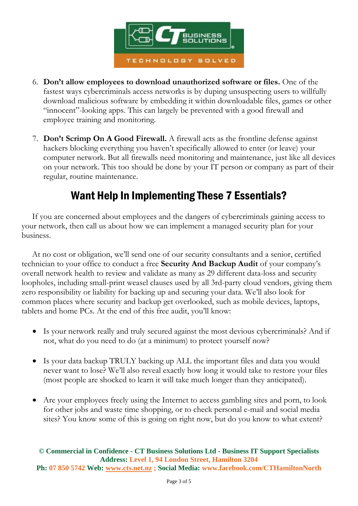

- 6. **Don't allow employees to download unauthorized software or files.** One of the fastest ways cybercriminals access networks is by duping unsuspecting users to willfully download malicious software by embedding it within downloadable files, games or other "innocent"-looking apps. This can largely be prevented with a good firewall and employee training and monitoring.
- 7. **Don't Scrimp On A Good Firewall.** A firewall acts as the frontline defense against hackers blocking everything you haven't specifically allowed to enter (or leave) your computer network. But all firewalls need monitoring and maintenance, just like all devices on your network. This too should be done by your IT person or company as part of their regular, routine maintenance.

### Want Help In Implementing These 7 Essentials?

 If you are concerned about employees and the dangers of cybercriminals gaining access to your network, then call us about how we can implement a managed security plan for your business.

 At no cost or obligation, we'll send one of our security consultants and a senior, certified technician to your office to conduct a free **Security And Backup Audit** of your company's overall network health to review and validate as many as 29 different data-loss and security loopholes, including small-print weasel clauses used by all 3rd-party cloud vendors, giving them zero responsibility or liability for backing up and securing your data. We'll also look for common places where security and backup get overlooked, such as mobile devices, laptops, tablets and home PCs. At the end of this free audit, you'll know:

- Is your network really and truly secured against the most devious cybercriminals? And if not, what do you need to do (at a minimum) to protect yourself now?
- Is your data backup TRULY backing up ALL the important files and data you would never want to lose? We'll also reveal exactly how long it would take to restore your files (most people are shocked to learn it will take much longer than they anticipated).
- Are your employees freely using the Internet to access gambling sites and porn, to look for other jobs and waste time shopping, or to check personal e-mail and social media sites? You know some of this is going on right now, but do you know to what extent?